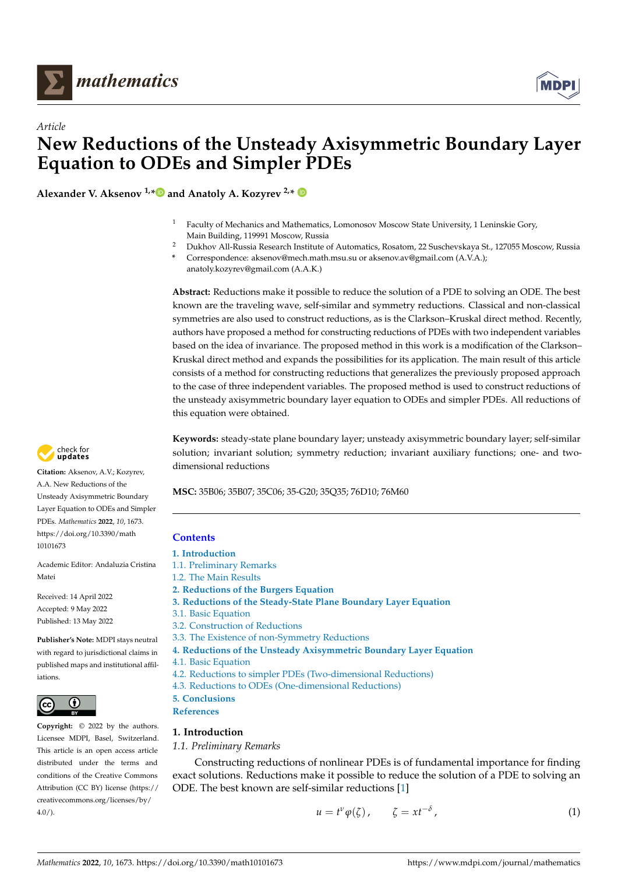

*Article*



# **New Reductions of the Unsteady Axisymmetric Boundary Layer Equation to ODEs and Simpler PDEs**

**Alexander V. Aksenov 1,[\\*](https://orcid.org/0000-0002-7521-392X) and Anatoly A. Kozyrev 2,\***

- $1$  Faculty of Mechanics and Mathematics, Lomonosov Moscow State University, 1 Leninskie Gory, Main Building, 119991 Moscow, Russia
- <sup>2</sup> Dukhov All-Russia Research Institute of Automatics, Rosatom, 22 Suschevskaya St., 127055 Moscow, Russia
- **\*** Correspondence: aksenov@mech.math.msu.su or aksenov.av@gmail.com (A.V.A.); anatoly.kozyrev@gmail.com (A.A.K.)

**Abstract:** Reductions make it possible to reduce the solution of a PDE to solving an ODE. The best known are the traveling wave, self-similar and symmetry reductions. Classical and non-classical symmetries are also used to construct reductions, as is the Clarkson–Kruskal direct method. Recently, authors have proposed a method for constructing reductions of PDEs with two independent variables based on the idea of invariance. The proposed method in this work is a modification of the Clarkson– Kruskal direct method and expands the possibilities for its application. The main result of this article consists of a method for constructing reductions that generalizes the previously proposed approach to the case of three independent variables. The proposed method is used to construct reductions of the unsteady axisymmetric boundary layer equation to ODEs and simpler PDEs. All reductions of this equation were obtained.

**Keywords:** steady-state plane boundary layer; unsteady axisymmetric boundary layer; self-similar solution; invariant solution; symmetry reduction; invariant auxiliary functions; one- and twodimensional reductions

**MSC:** 35B06; 35B07; 35C06; 35-G20; 35Q35; 76D10; 76M60

# **Contents**

- **[1. Introduction](#page-0-0)**
- [1.1. Preliminary Remarks](#page-0-1)
- [1.2. The Main Results](#page-1-0)
- **[2. Reductions of the Burgers Equation](#page-1-1)**
- **[3. Reductions of the Steady-State Plane Boundary Layer Equation](#page-3-0)**
- [3.1. Basic Equation](#page-3-1)
- [3.2. Construction of Reductions](#page-3-2)
- [3.3. The Existence of non-Symmetry Reductions](#page-5-0)
- **[4. Reductions of the Unsteady Axisymmetric Boundary Layer Equation](#page-6-0)**
- [4.1. Basic Equation](#page-6-1)
	- [4.2. Reductions to simpler PDEs \(Two-dimensional Reductions\)](#page-7-0)
	- [4.3. Reductions to ODEs \(One-dimensional Reductions\)](#page-11-0)
	- **[5. Conclusions](#page-15-0)**
	- **[References](#page-15-1)**

# <span id="page-0-0"></span>**1. Introduction**

# <span id="page-0-1"></span>*1.1. Preliminary Remarks*

Constructing reductions of nonlinear PDEs is of fundamental importance for finding exact solutions. Reductions make it possible to reduce the solution of a PDE to solving an ODE. The best known are self-similar reductions [\[1\]](#page-15-2)

<span id="page-0-2"></span>
$$
u = t^{\nu} \varphi(\zeta), \qquad \zeta = xt^{-\delta}, \tag{1}
$$



**Citation:** Aksenov, A.V.; Kozyrev, A.A. New Reductions of the Unsteady Axisymmetric Boundary Layer Equation to ODEs and Simpler PDEs. *Mathematics* **2022**, *10*, 1673. [https://doi.org/10.3390/math](https://doi.org/10.3390/math10101673) [10101673](https://doi.org/10.3390/math10101673)

Academic Editor: Andaluzia Cristina Matei

Received: 14 April 2022 Accepted: 9 May 2022 Published: 13 May 2022

**Publisher's Note:** MDPI stays neutral with regard to jurisdictional claims in published maps and institutional affiliations.



**Copyright:** © 2022 by the authors. Licensee MDPI, Basel, Switzerland. This article is an open access article distributed under the terms and conditions of the Creative Commons Attribution (CC BY) license [\(https://](https://creativecommons.org/licenses/by/4.0/) [creativecommons.org/licenses/by/](https://creativecommons.org/licenses/by/4.0/) 4.0/).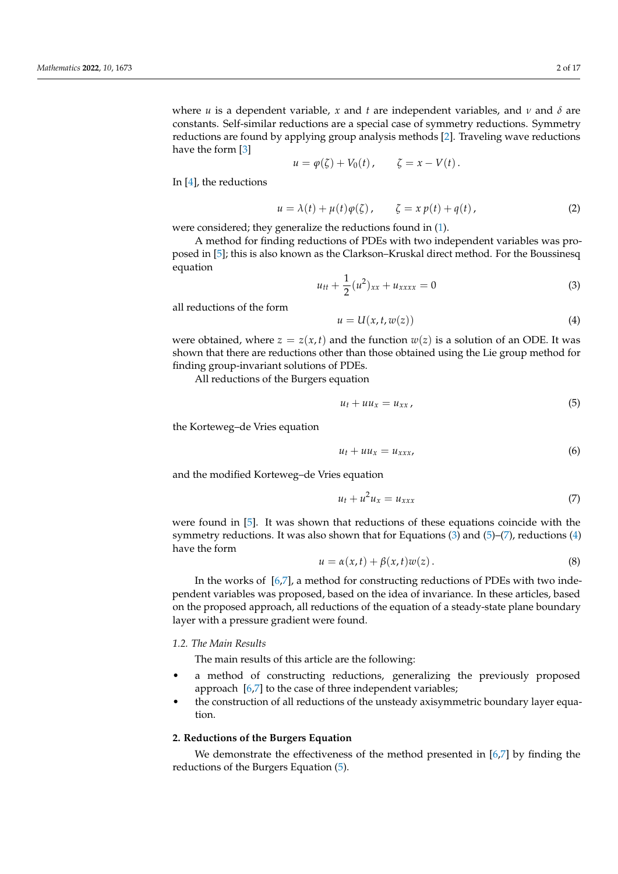where *u* is a dependent variable, *x* and *t* are independent variables, and *v* and  $\delta$  are constants. Self-similar reductions are a special case of symmetry reductions. Symmetry reductions are found by applying group analysis methods [\[2\]](#page-15-3). Traveling wave reductions have the form [\[3\]](#page-15-4)

$$
u = \varphi(\zeta) + V_0(t), \qquad \zeta = x - V(t).
$$

In [\[4\]](#page-15-5), the reductions

<span id="page-1-7"></span>
$$
u = \lambda(t) + \mu(t)\varphi(\zeta), \qquad \zeta = x p(t) + q(t), \qquad (2)
$$

were considered; they generalize the reductions found in [\(1\)](#page-0-2).

A method for finding reductions of PDEs with two independent variables was proposed in [\[5\]](#page-15-6); this is also known as the Clarkson–Kruskal direct method. For the Boussinesq equation

<span id="page-1-2"></span>
$$
u_{tt} + \frac{1}{2}(u^2)_{xx} + u_{xxxx} = 0
$$
 (3)

all reductions of the form

<span id="page-1-5"></span>
$$
u = U(x, t, w(z))
$$
 (4)

were obtained, where  $z = z(x, t)$  and the function  $w(z)$  is a solution of an ODE. It was shown that there are reductions other than those obtained using the Lie group method for finding group-invariant solutions of PDEs.

All reductions of the Burgers equation

<span id="page-1-3"></span>
$$
u_t + u u_x = u_{xx}, \t\t(5)
$$

the Korteweg–de Vries equation

$$
u_t + u u_x = u_{xxx}, \t\t(6)
$$

and the modified Korteweg–de Vries equation

<span id="page-1-4"></span>
$$
u_t + u^2 u_x = u_{xxx} \tag{7}
$$

were found in [\[5\]](#page-15-6). It was shown that reductions of these equations coincide with the symmetry reductions. It was also shown that for Equations  $(3)$  and  $(5)-(7)$  $(5)-(7)$  $(5)-(7)$ , reductions  $(4)$ have the form

<span id="page-1-6"></span>
$$
u = \alpha(x, t) + \beta(x, t)w(z).
$$
 (8)

In the works of [\[6,](#page-15-7)[7\]](#page-16-0), a method for constructing reductions of PDEs with two independent variables was proposed, based on the idea of invariance. In these articles, based on the proposed approach, all reductions of the equation of a steady-state plane boundary layer with a pressure gradient were found.

# <span id="page-1-0"></span>*1.2. The Main Results*

The main results of this article are the following:

- a method of constructing reductions, generalizing the previously proposed approach [\[6,](#page-15-7)[7\]](#page-16-0) to the case of three independent variables;
- the construction of all reductions of the unsteady axisymmetric boundary layer equation.

#### <span id="page-1-1"></span>**2. Reductions of the Burgers Equation**

We demonstrate the effectiveness of the method presented in [\[6](#page-15-7)[,7\]](#page-16-0) by finding the reductions of the Burgers Equation [\(5\)](#page-1-3).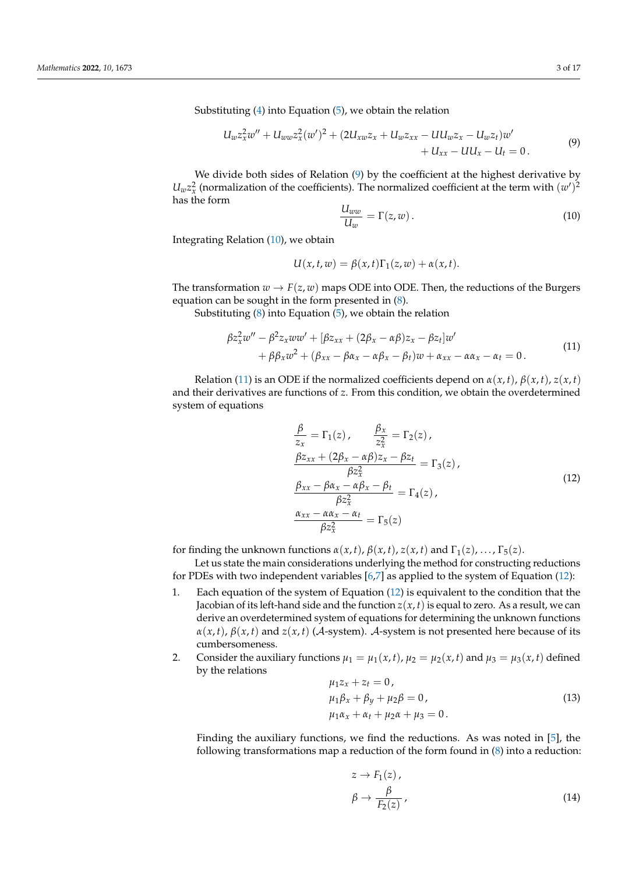Substituting [\(4\)](#page-1-5) into Equation [\(5\)](#page-1-3), we obtain the relation

<span id="page-2-0"></span>
$$
U_w z_x^2 w'' + U_{ww} z_x^2 (w')^2 + (2U_{xw} z_x + U_w z_{xx} - U U_w z_x - U_w z_t) w' + U_{xx} - U U_x - U_t = 0.
$$
 (9)

We divide both sides of Relation [\(9\)](#page-2-0) by the coefficient at the highest derivative by  $U_w z_x^2$  (normalization of the coefficients). The normalized coefficient at the term with  $(w')^2$ has the form

<span id="page-2-1"></span>
$$
\frac{U_{ww}}{U_w} = \Gamma(z, w) \,. \tag{10}
$$

Integrating Relation [\(10\)](#page-2-1), we obtain

$$
U(x, t, w) = \beta(x, t)\Gamma_1(z, w) + \alpha(x, t).
$$

The transformation  $w \to F(z, w)$  maps ODE into ODE. Then, the reductions of the Burgers equation can be sought in the form presented in [\(8\)](#page-1-6).

Substituting [\(8\)](#page-1-6) into Equation [\(5\)](#page-1-3), we obtain the relation

<span id="page-2-2"></span>
$$
\beta z_x^2 w'' - \beta^2 z_x w w' + [\beta z_{xx} + (2\beta_x - \alpha \beta) z_x - \beta z_t] w'+ \beta \beta_x w^2 + (\beta_{xx} - \beta \alpha_x - \alpha \beta_x - \beta_t) w + \alpha_{xx} - \alpha \alpha_x - \alpha_t = 0.
$$
\n(11)

Relation [\(11\)](#page-2-2) is an ODE if the normalized coefficients depend on  $\alpha(x, t)$ ,  $\beta(x, t)$ ,  $z(x, t)$ and their derivatives are functions of *z*. From this condition, we obtain the overdetermined system of equations

<span id="page-2-3"></span>
$$
\frac{\beta}{z_x} = \Gamma_1(z), \qquad \frac{\beta_x}{z_x^2} = \Gamma_2(z),
$$
  
\n
$$
\frac{\beta z_{xx} + (2\beta_x - \alpha \beta)z_x - \beta z_t}{\beta z_x^2} = \Gamma_3(z),
$$
  
\n
$$
\frac{\beta_{xx} - \beta \alpha_x - \alpha \beta_x - \beta_t}{\beta z_x^2} = \Gamma_4(z),
$$
  
\n
$$
\frac{\alpha_{xx} - \alpha \alpha_x - \alpha_t}{\beta z_x^2} = \Gamma_5(z)
$$
\n(12)

for finding the unknown functions  $\alpha(x, t)$ ,  $\beta(x, t)$ ,  $z(x, t)$  and  $\Gamma_1(z)$ , ...,  $\Gamma_5(z)$ .

Let us state the main considerations underlying the method for constructing reductions for PDEs with two independent variables [\[6](#page-15-7)[,7\]](#page-16-0) as applied to the system of Equation [\(12\)](#page-2-3):

- 1. Each equation of the system of Equation [\(12\)](#page-2-3) is equivalent to the condition that the Jacobian of its left-hand side and the function  $z(x, t)$  is equal to zero. As a result, we can derive an overdetermined system of equations for determining the unknown functions  $\alpha(x, t)$ ,  $\beta(x, t)$  and  $z(x, t)$  (A-system). A-system is not presented here because of its cumbersomeness.
- 2. Consider the auxiliary functions  $\mu_1 = \mu_1(x, t)$ ,  $\mu_2 = \mu_2(x, t)$  and  $\mu_3 = \mu_3(x, t)$  defined by the relations

$$
\begin{aligned} \n\mu_1 z_x + z_t &= 0 \,, \\ \n\mu_1 \beta_x + \beta_y + \mu_2 \beta &= 0 \,, \\ \n\mu_1 \alpha_x + \alpha_t + \mu_2 \alpha + \mu_3 &= 0 \,. \n\end{aligned} \tag{13}
$$

Finding the auxiliary functions, we find the reductions. As was noted in [\[5\]](#page-15-6), the following transformations map a reduction of the form found in  $(8)$  into a reduction:

<span id="page-2-5"></span><span id="page-2-4"></span>
$$
z \to F_1(z),
$$
  
\n
$$
\beta \to \frac{\beta}{F_2(z)},
$$
\n(14)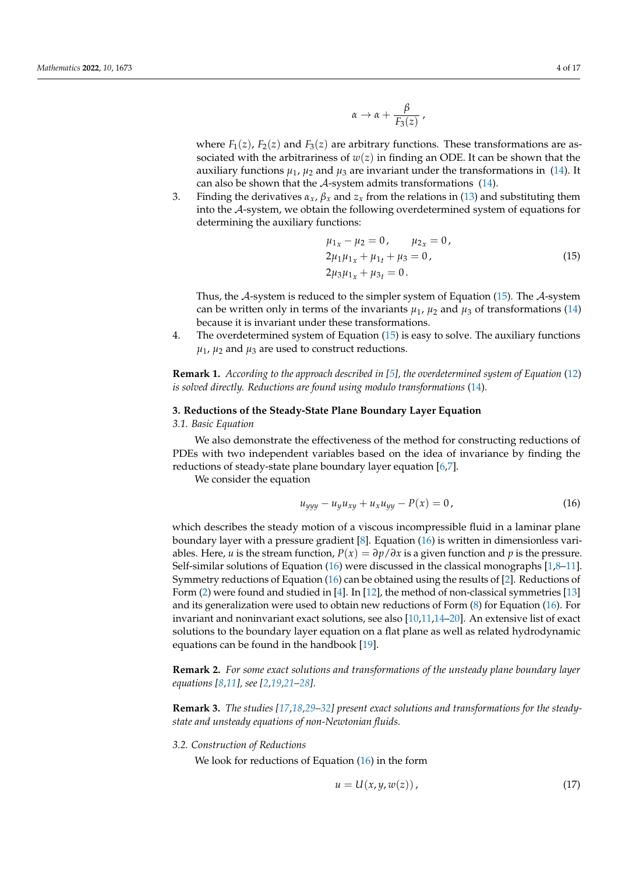$$
\alpha \to \alpha + \frac{\beta}{F_3(z)}\,,
$$

where  $F_1(z)$ ,  $F_2(z)$  and  $F_3(z)$  are arbitrary functions. These transformations are associated with the arbitrariness of  $w(z)$  in finding an ODE. It can be shown that the auxiliary functions  $\mu_1$ ,  $\mu_2$  and  $\mu_3$  are invariant under the transformations in [\(14\)](#page-2-4). It can also be shown that the  $A$ -system admits transformations [\(14\)](#page-2-4).

3. Finding the derivatives  $\alpha_x$ ,  $\beta_x$  and  $z_x$  from the relations in [\(13\)](#page-2-5) and substituting them into the A-system, we obtain the following overdetermined system of equations for determining the auxiliary functions:

<span id="page-3-3"></span>
$$
\begin{aligned}\n\mu_{1x} - \mu_2 &= 0, & \mu_{2x} &= 0, \\
2\mu_1 \mu_{1x} + \mu_{1t} + \mu_3 &= 0, \\
2\mu_3 \mu_{1x} + \mu_{3t} &= 0.\n\end{aligned} \tag{15}
$$

Thus, the A-system is reduced to the simpler system of Equation [\(15\)](#page-3-3). The A-system can be written only in terms of the invariants  $\mu_1$ ,  $\mu_2$  and  $\mu_3$  of transformations [\(14\)](#page-2-4) because it is invariant under these transformations.

4. The overdetermined system of Equation [\(15\)](#page-3-3) is easy to solve. The auxiliary functions  $\mu_1$ ,  $\mu_2$  and  $\mu_3$  are used to construct reductions.

**Remark 1.** *According to the approach described in [\[5\]](#page-15-6), the overdetermined system of Equation* [\(12\)](#page-2-3) *is solved directly. Reductions are found using modulo transformations* [\(14\)](#page-2-4)*.*

#### <span id="page-3-0"></span>**3. Reductions of the Steady-State Plane Boundary Layer Equation**

# <span id="page-3-1"></span>*3.1. Basic Equation*

We also demonstrate the effectiveness of the method for constructing reductions of PDEs with two independent variables based on the idea of invariance by finding the reductions of steady-state plane boundary layer equation [\[6](#page-15-7)[,7\]](#page-16-0).

We consider the equation

<span id="page-3-4"></span>
$$
u_{yyy} - u_y u_{xy} + u_x u_{yy} - P(x) = 0,
$$
\n(16)

which describes the steady motion of a viscous incompressible fluid in a laminar plane boundary layer with a pressure gradient [\[8\]](#page-16-1). Equation [\(16\)](#page-3-4) is written in dimensionless variables. Here, *u* is the stream function,  $P(x) = \frac{\partial p}{\partial x}$  is a given function and *p* is the pressure. Self-similar solutions of Equation [\(16\)](#page-3-4) were discussed in the classical monographs [\[1](#page-15-2)[,8](#page-16-1)[–11\]](#page-16-2). Symmetry reductions of Equation [\(16\)](#page-3-4) can be obtained using the results of [\[2\]](#page-15-3). Reductions of Form [\(2\)](#page-1-7) were found and studied in [\[4\]](#page-15-5). In [\[12\]](#page-16-3), the method of non-classical symmetries [\[13\]](#page-16-4) and its generalization were used to obtain new reductions of Form [\(8\)](#page-1-6) for Equation [\(16\)](#page-3-4). For invariant and noninvariant exact solutions, see also [\[10,](#page-16-5)[11](#page-16-2)[,14](#page-16-6)[–20\]](#page-16-7). An extensive list of exact solutions to the boundary layer equation on a flat plane as well as related hydrodynamic equations can be found in the handbook [\[19\]](#page-16-8).

**Remark 2.** *For some exact solutions and transformations of the unsteady plane boundary layer equations [\[8,](#page-16-1)[11\]](#page-16-2), see [\[2,](#page-15-3)[19,](#page-16-8)[21–](#page-16-9)[28\]](#page-16-10).*

**Remark 3.** *The studies [\[17,](#page-16-11)[18](#page-16-12)[,29–](#page-16-13)[32\]](#page-16-14) present exact solutions and transformations for the steadystate and unsteady equations of non-Newtonian fluids.*

#### <span id="page-3-2"></span>*3.2. Construction of Reductions*

We look for reductions of Equation [\(16\)](#page-3-4) in the form

<span id="page-3-5"></span>
$$
u = U(x, y, w(z)), \tag{17}
$$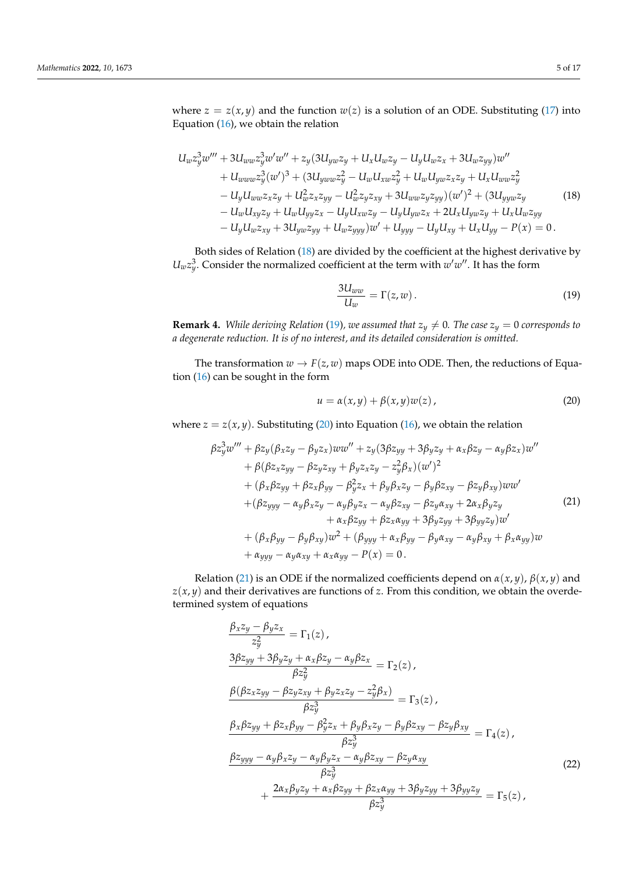where  $z = z(x, y)$  and the function  $w(z)$  is a solution of an ODE. Substituting [\(17\)](#page-3-5) into Equation [\(16\)](#page-3-4), we obtain the relation

$$
U_{w}z_{y}^{3}w''' + 3U_{ww}z_{y}^{3}w'w'' + z_{y}(3U_{yw}z_{y} + U_{x}U_{w}z_{y} - U_{y}U_{w}z_{x} + 3U_{w}z_{yy})w''
$$
  
+ 
$$
U_{ww}z_{y}^{3}(w')^{3} + (3U_{yw}wz_{y}^{2} - U_{w}U_{xw}z_{y}^{2} + U_{w}U_{yw}z_{x}z_{y} + U_{x}U_{ww}z_{y}^{2})
$$

$$
- U_{y}U_{ww}z_{x}z_{y} + U_{w}^{2}z_{x}z_{yy} - U_{w}^{2}z_{y}z_{xy} + 3U_{ww}z_{y}z_{yy})(w')^{2} + (3U_{yy}wz_{y} - U_{w}U_{xy}z_{y} + U_{w}U_{yy}z_{x} - U_{y}U_{xw}z_{y} - U_{y}U_{yw}z_{x} + 2U_{x}U_{yw}z_{y} + U_{x}U_{w}z_{yy}
$$

$$
- U_{y}U_{w}z_{xy} + 3U_{yw}z_{yy} + U_{w}z_{yyy})w' + U_{yyy} - U_{y}U_{xy} + U_{x}U_{yy} - P(x) = 0.
$$

Both sides of Relation [\(18\)](#page-4-0) are divided by the coefficient at the highest derivative by  $U_w z_y^3$ . Consider the normalized coefficient at the term with  $w'w''$ . It has the form

<span id="page-4-1"></span><span id="page-4-0"></span>
$$
\frac{3U_{ww}}{U_w} = \Gamma(z, w). \tag{19}
$$

**Remark 4.** *While deriving Relation* [\(19\)](#page-4-1)*, we assumed that*  $z_y \neq 0$ *. The case*  $z_y = 0$  *corresponds to a degenerate reduction. It is of no interest, and its detailed consideration is omitted.*

The transformation  $w \to F(z, w)$  maps ODE into ODE. Then, the reductions of Equation [\(16\)](#page-3-4) can be sought in the form

<span id="page-4-3"></span><span id="page-4-2"></span>
$$
u = \alpha(x, y) + \beta(x, y)w(z), \qquad (20)
$$

where  $z = z(x, y)$ . Substituting [\(20\)](#page-4-2) into Equation [\(16\)](#page-3-4), we obtain the relation

$$
\beta z_y^3 w''' + \beta z_y (\beta_x z_y - \beta_y z_x) w w'' + z_y (3\beta z_{yy} + 3\beta_y z_y + \alpha_x \beta z_y - \alpha_y \beta z_x) w'' \n+ \beta (\beta z_x z_{yy} - \beta z_y z_{xy} + \beta_y z_x z_y - z_y^2 \beta_x) (w')^2 \n+ (\beta_x \beta z_{yy} + \beta z_x \beta_{yy} - \beta_y^2 z_x + \beta_y \beta_x z_y - \beta_y \beta z_{xy} - \beta z_y \beta_{xy}) w w' \n+ (\beta z_{yyy} - \alpha_y \beta_x z_y - \alpha_y \beta_y z_x - \alpha_y \beta z_{xy} - \beta z_y \alpha_{xy} + 2\alpha_x \beta_y z_y \n+ \alpha_x \beta z_{yy} + \beta z_x \alpha_{yy} + 3\beta_y z_{yy} + 3\beta_{yy} z_y) w' \n+ (\beta_x \beta_{yy} - \beta_y \beta_{xy}) w^2 + (\beta_{yyy} + \alpha_x \beta_{yy} - \beta_y \alpha_{xy} - \alpha_y \beta_{xy} + \beta_x \alpha_{yy}) w \n+ \alpha_{yyy} - \alpha_y \alpha_{xy} + \alpha_x \alpha_{yy} - P(x) = 0.
$$

Relation [\(21\)](#page-4-3) is an ODE if the normalized coefficients depend on  $\alpha(x, y)$ ,  $\beta(x, y)$  and  $z(x, y)$  and their derivatives are functions of *z*. From this condition, we obtain the overdetermined system of equations

<span id="page-4-4"></span>
$$
\frac{\beta_x z_y - \beta_y z_x}{z_y^2} = \Gamma_1(z),
$$
\n
$$
\frac{3\beta z_{yy} + 3\beta_y z_y + \alpha_x \beta z_y - \alpha_y \beta z_x}{\beta z_y^2} = \Gamma_2(z),
$$
\n
$$
\frac{\beta(\beta z_x z_{yy} - \beta z_y z_{xy} + \beta_y z_x z_y - z_y^2 \beta_x)}{\beta z_y^3} = \Gamma_3(z),
$$
\n
$$
\frac{\beta_x \beta z_{yy} + \beta z_x \beta_{yy} - \beta_y^2 z_x + \beta_y \beta_x z_y - \beta_y \beta z_{xy} - \beta z_y \beta_{xy}}{\beta z_y^3} = \Gamma_4(z),
$$
\n
$$
\frac{\beta z_{yyy} - \alpha_y \beta_x z_y - \alpha_y \beta_y z_x - \alpha_y \beta z_{xy} - \beta z_y \alpha_{xy}}{\beta z_y^3} = \Gamma_5(z),
$$
\n(22)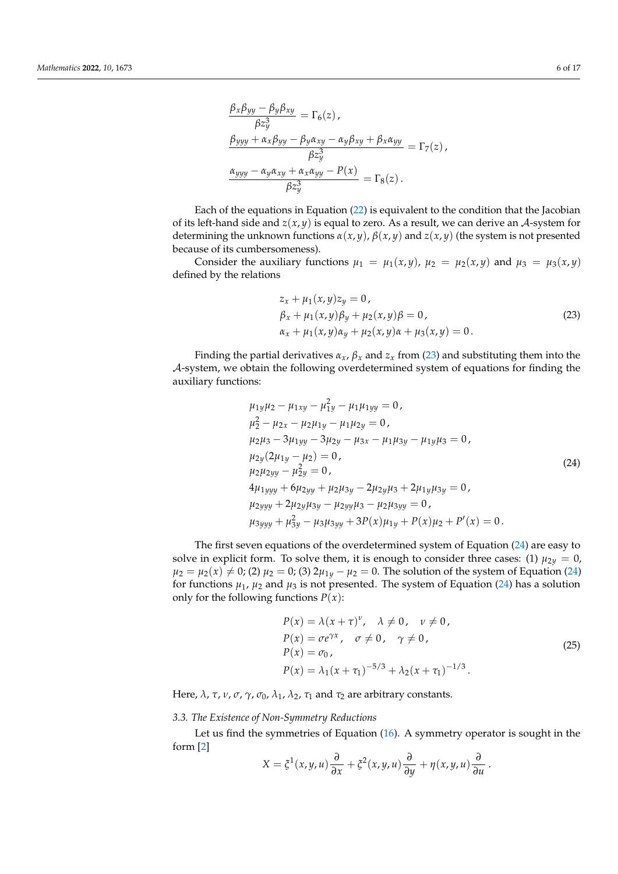$$
\frac{\beta_x \beta_{yy} - \beta_y \beta_{xy}}{\beta z_y^3} = \Gamma_6(z),
$$
  

$$
\frac{\beta_{yyy} + \alpha_x \beta_{yy} - \beta_y \alpha_{xy} - \alpha_y \beta_{xy} + \beta_x \alpha_{yy}}{\beta z_y^3} = \Gamma_7(z),
$$
  

$$
\frac{\alpha_{yyy} - \alpha_y \alpha_{xy} + \alpha_x \alpha_{yy} - P(x)}{\beta z_y^3} = \Gamma_8(z).
$$

Each of the equations in Equation [\(22\)](#page-4-4) is equivalent to the condition that the Jacobian of its left-hand side and  $z(x, y)$  is equal to zero. As a result, we can derive an A-system for determining the unknown functions  $\alpha(x, y)$ ,  $\beta(x, y)$  and  $z(x, y)$  (the system is not presented because of its cumbersomeness).

Consider the auxiliary functions  $\mu_1 = \mu_1(x, y)$ ,  $\mu_2 = \mu_2(x, y)$  and  $\mu_3 = \mu_3(x, y)$ defined by the relations

<span id="page-5-1"></span>
$$
z_x + \mu_1(x, y)z_y = 0,\n\beta_x + \mu_1(x, y)\beta_y + \mu_2(x, y)\beta = 0,\n\alpha_x + \mu_1(x, y)\alpha_y + \mu_2(x, y)\alpha + \mu_3(x, y) = 0.
$$
\n(23)

Finding the partial derivatives  $\alpha_x$ ,  $\beta_x$  and  $z_x$  from [\(23\)](#page-5-1) and substituting them into the A-system, we obtain the following overdetermined system of equations for finding the auxiliary functions:

<span id="page-5-2"></span>
$$
\mu_{1y}\mu_{2} - \mu_{1xy} - \mu_{1y}^{2} - \mu_{1}\mu_{1yy} = 0,
$$
\n
$$
\mu_{2}^{2} - \mu_{2x} - \mu_{2}\mu_{1y} - \mu_{1}\mu_{2y} = 0,
$$
\n
$$
\mu_{2}\mu_{3} - 3\mu_{1yy} - 3\mu_{2y} - \mu_{3x} - \mu_{1}\mu_{3y} - \mu_{1y}\mu_{3} = 0,
$$
\n
$$
\mu_{2y}(2\mu_{1y} - \mu_{2}) = 0,
$$
\n
$$
\mu_{2}\mu_{2yy} - \mu_{2y}^{2} = 0,
$$
\n
$$
4\mu_{1yyy} + 6\mu_{2yy} + \mu_{2}\mu_{3y} - 2\mu_{2y}\mu_{3} + 2\mu_{1y}\mu_{3y} = 0,
$$
\n
$$
\mu_{2yyy} + 2\mu_{2y}\mu_{3y} - \mu_{2yy}\mu_{3} - \mu_{2}\mu_{3yy} = 0,
$$
\n
$$
\mu_{3yyy} + \mu_{3y}^{2} - \mu_{3}\mu_{3yy} + 3P(x)\mu_{1y} + P(x)\mu_{2} + P'(x) = 0.
$$
\n(24)

The first seven equations of the overdetermined system of Equation [\(24\)](#page-5-2) are easy to solve in explicit form. To solve them, it is enough to consider three cases: (1)  $\mu_{2y} = 0$ ,  $\mu_2 = \mu_2(x) \neq 0$ ; (2)  $\mu_2 = 0$ ; (3)  $2\mu_{1y} - \mu_2 = 0$ . The solution of the system of Equation [\(24\)](#page-5-2) for functions  $\mu_1$ ,  $\mu_2$  and  $\mu_3$  is not presented. The system of Equation [\(24\)](#page-5-2) has a solution only for the following functions  $P(x)$ :

<span id="page-5-3"></span>
$$
P(x) = \lambda (x + \tau)^{\nu}, \quad \lambda \neq 0, \quad \nu \neq 0,
$$
  
\n
$$
P(x) = \sigma e^{\gamma x}, \quad \sigma \neq 0, \quad \gamma \neq 0,
$$
  
\n
$$
P(x) = \sigma_0,
$$
  
\n
$$
P(x) = \lambda_1 (x + \tau_1)^{-5/3} + \lambda_2 (x + \tau_1)^{-1/3}.
$$
\n(25)

<span id="page-5-0"></span>Here,  $λ$ ,  $τ$ ,  $ν$ ,  $σ$ ,  $γ$ ,  $σ_0$ ,  $λ_1$ ,  $λ_2$ ,  $τ_1$  and  $τ_2$  are arbitrary constants.

# *3.3. The Existence of Non-Symmetry Reductions*

Let us find the symmetries of Equation [\(16\)](#page-3-4). A symmetry operator is sought in the form [\[2\]](#page-15-3)

$$
X = \xi^1(x, y, u) \frac{\partial}{\partial x} + \xi^2(x, y, u) \frac{\partial}{\partial y} + \eta(x, y, u) \frac{\partial}{\partial u}.
$$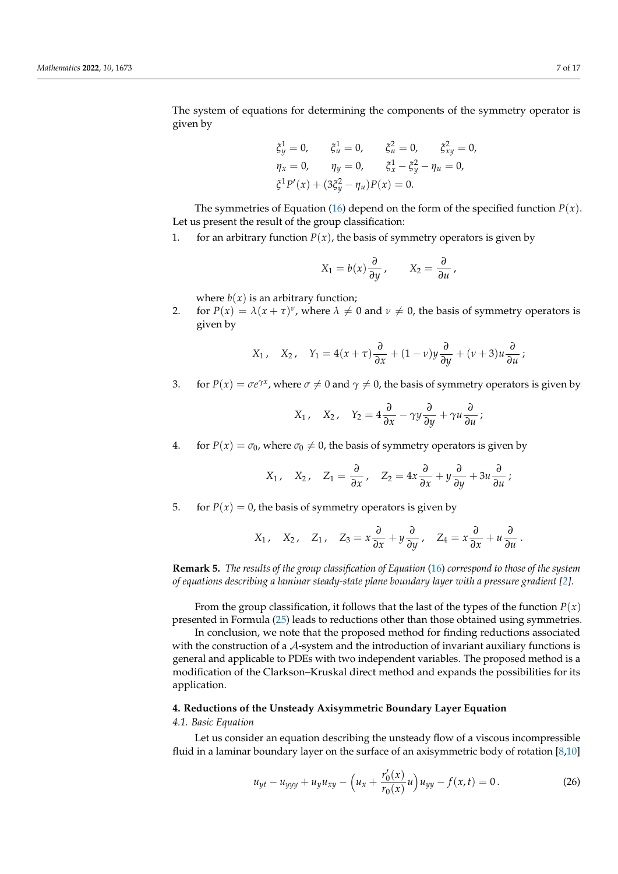The system of equations for determining the components of the symmetry operator is given by

$$
\xi_y^1 = 0,
$$
  $\xi_u^1 = 0,$   $\xi_u^2 = 0,$   $\xi_{xy}^2 = 0,$   
\n $\eta_x = 0,$   $\eta_y = 0,$   $\xi_x^1 - \xi_y^2 - \eta_u = 0,$   
\n $\xi^1 P'(x) + (3\xi_y^2 - \eta_u)P(x) = 0.$ 

The symmetries of Equation [\(16\)](#page-3-4) depend on the form of the specified function  $P(x)$ . Let us present the result of the group classification:

1. for an arbitrary function  $P(x)$ , the basis of symmetry operators is given by

$$
X_1 = b(x) \frac{\partial}{\partial y}, \qquad X_2 = \frac{\partial}{\partial u},
$$

where  $b(x)$  is an arbitrary function;

2. for  $P(x) = \lambda(x + \tau)^{\nu}$ , where  $\lambda \neq 0$  and  $\nu \neq 0$ , the basis of symmetry operators is given by

$$
X_1
$$
,  $X_2$ ,  $Y_1 = 4(x + \tau) \frac{\partial}{\partial x} + (1 - v)y \frac{\partial}{\partial y} + (v + 3)u \frac{\partial}{\partial u}$ ;

3. for  $P(x) = \sigma e^{\gamma x}$ , where  $\sigma \neq 0$  and  $\gamma \neq 0$ , the basis of symmetry operators is given by

$$
X_1
$$
,  $X_2$ ,  $Y_2 = 4\frac{\partial}{\partial x} - \gamma y \frac{\partial}{\partial y} + \gamma u \frac{\partial}{\partial u}$ ;

4. for  $P(x) = \sigma_0$ , where  $\sigma_0 \neq 0$ , the basis of symmetry operators is given by

$$
X_1
$$
,  $X_2$ ,  $Z_1 = \frac{\partial}{\partial x}$ ,  $Z_2 = 4x \frac{\partial}{\partial x} + y \frac{\partial}{\partial y} + 3u \frac{\partial}{\partial u}$ ;

5. for  $P(x) = 0$ , the basis of symmetry operators is given by

$$
X_1
$$
,  $X_2$ ,  $Z_1$ ,  $Z_3 = x \frac{\partial}{\partial x} + y \frac{\partial}{\partial y}$ ,  $Z_4 = x \frac{\partial}{\partial x} + u \frac{\partial}{\partial u}$ .

**Remark 5.** *The results of the group classification of Equation* [\(16\)](#page-3-4) *correspond to those of the system of equations describing a laminar steady-state plane boundary layer with a pressure gradient [\[2\]](#page-15-3)*.

From the group classification, it follows that the last of the types of the function  $P(x)$ presented in Formula [\(25\)](#page-5-3) leads to reductions other than those obtained using symmetries.

In conclusion, we note that the proposed method for finding reductions associated with the construction of a A-system and the introduction of invariant auxiliary functions is general and applicable to PDEs with two independent variables. The proposed method is a modification of the Clarkson–Kruskal direct method and expands the possibilities for its application.

# <span id="page-6-0"></span>**4. Reductions of the Unsteady Axisymmetric Boundary Layer Equation**

## <span id="page-6-1"></span>*4.1. Basic Equation*

Let us consider an equation describing the unsteady flow of a viscous incompressible fluid in a laminar boundary layer on the surface of an axisymmetric body of rotation [\[8](#page-16-1)[,10\]](#page-16-5)

<span id="page-6-2"></span>
$$
u_{yt} - u_{yyy} + u_y u_{xy} - \left(u_x + \frac{r'_0(x)}{r_0(x)}u\right)u_{yy} - f(x,t) = 0.
$$
 (26)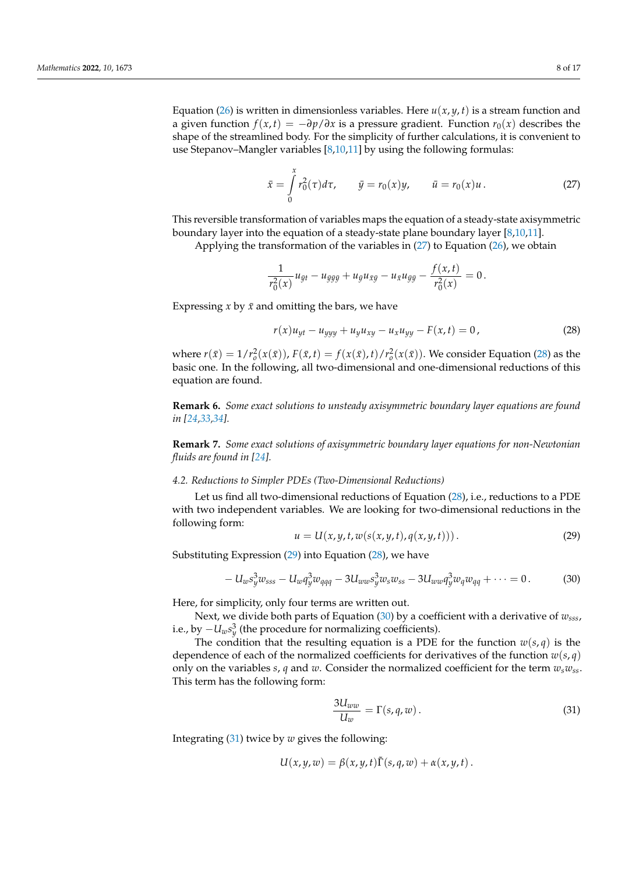Equation [\(26\)](#page-6-2) is written in dimensionless variables. Here  $u(x, y, t)$  is a stream function and a given function  $f(x,t) = -\partial p/\partial x$  is a pressure gradient. Function  $r_0(x)$  describes the shape of the streamlined body. For the simplicity of further calculations, it is convenient to use Stepanov–Mangler variables [\[8](#page-16-1)[,10](#page-16-5)[,11\]](#page-16-2) by using the following formulas:

<span id="page-7-1"></span>
$$
\bar{x} = \int_{0}^{x} r_0^2(\tau) d\tau, \qquad \bar{y} = r_0(x) y, \qquad \bar{u} = r_0(x) u.
$$
 (27)

This reversible transformation of variables maps the equation of a steady-state axisymmetric boundary layer into the equation of a steady-state plane boundary layer [\[8,](#page-16-1)[10,](#page-16-5)[11\]](#page-16-2).

Applying the transformation of the variables in [\(27\)](#page-7-1) to Equation [\(26\)](#page-6-2), we obtain

$$
\frac{1}{r_0^2(x)}u_{\bar{y}t} - u_{\bar{y}\bar{y}\bar{y}} + u_{\bar{y}}u_{\bar{x}\bar{y}} - u_{\bar{x}}u_{\bar{y}\bar{y}} - \frac{f(x,t)}{r_0^2(x)} = 0.
$$

Expressing  $x$  by  $\bar{x}$  and omitting the bars, we have

<span id="page-7-2"></span>
$$
r(x)u_{yt} - u_{yyy} + u_y u_{xy} - u_x u_{yy} - F(x,t) = 0,
$$
\n(28)

where  $r(\bar{x}) = 1/r_o^2(x(\bar{x}))$ ,  $F(\bar{x}, t) = f(x(\bar{x}), t)/r_o^2(x(\bar{x}))$ . We consider Equation [\(28\)](#page-7-2) as the basic one. In the following, all two-dimensional and one-dimensional reductions of this equation are found.

**Remark 6.** *Some exact solutions to unsteady axisymmetric boundary layer equations are found in [\[24](#page-16-15)[,33](#page-16-16)[,34\]](#page-16-17).*

**Remark 7.** *Some exact solutions of axisymmetric boundary layer equations for non-Newtonian fluids are found in [\[24\]](#page-16-15).*

# <span id="page-7-0"></span>*4.2. Reductions to Simpler PDEs (Two-Dimensional Reductions)*

Let us find all two-dimensional reductions of Equation [\(28\)](#page-7-2), i.e., reductions to a PDE with two independent variables. We are looking for two-dimensional reductions in the following form:

<span id="page-7-3"></span>
$$
u = U(x, y, t, w(s(x, y, t), q(x, y, t))).
$$
\n(29)

Substituting Expression [\(29\)](#page-7-3) into Equation [\(28\)](#page-7-2), we have

<span id="page-7-4"></span>
$$
-U_w s_y^3 w_{sss} - U_w q_y^3 w_{qqq} - 3U_{ww} s_y^3 w_s w_{ss} - 3U_{ww} q_y^3 w_q w_{qq} + \cdots = 0.
$$
 (30)

Here, for simplicity, only four terms are written out.

Next, we divide both parts of Equation [\(30\)](#page-7-4) by a coefficient with a derivative of *wsss*, i.e., by −*Uws* 3 *y* (the procedure for normalizing coefficients).

The condition that the resulting equation is a PDE for the function  $w(s, q)$  is the dependence of each of the normalized coefficients for derivatives of the function  $w(s,q)$ only on the variables *s*, *q* and *w*. Consider the normalized coefficient for the term *wswss*. This term has the following form:

<span id="page-7-5"></span>
$$
\frac{3U_{ww}}{U_w} = \Gamma(s, q, w) \,. \tag{31}
$$

Integrating [\(31\)](#page-7-5) twice by *w* gives the following:

$$
U(x,y,w) = \beta(x,y,t)\tilde{\Gamma}(s,q,w) + \alpha(x,y,t).
$$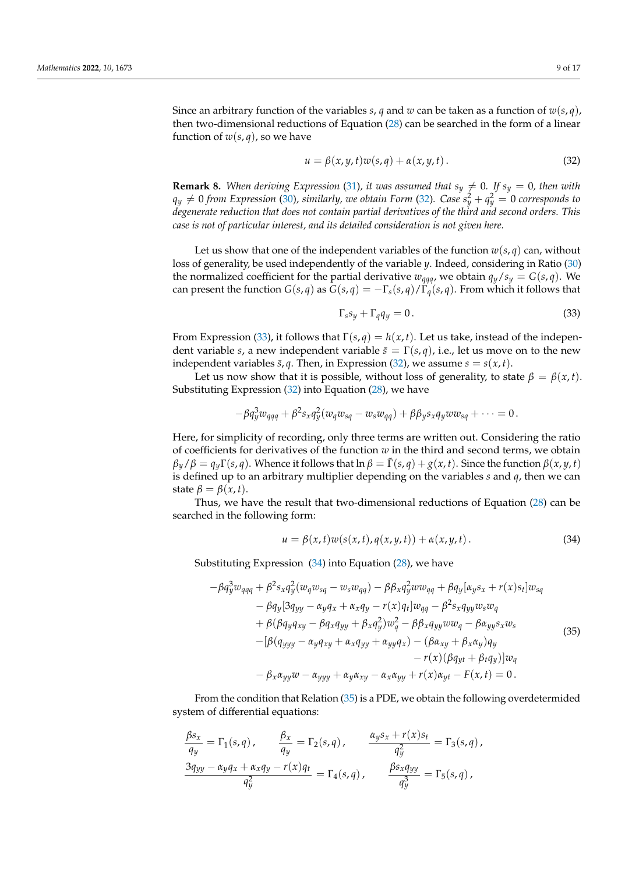Since an arbitrary function of the variables *s*, *q* and *w* can be taken as a function of  $w(s,q)$ , then two-dimensional reductions of Equation [\(28\)](#page-7-2) can be searched in the form of a linear function of  $w(s, q)$ , so we have

<span id="page-8-0"></span>
$$
u = \beta(x, y, t)w(s, q) + \alpha(x, y, t).
$$
 (32)

**Remark 8.** *When deriving Expression* [\(31\)](#page-7-5), *it was assumed that*  $s_y \neq 0$ . If  $s_y = 0$ , then with  $q_y \neq 0$  *from Expression* [\(30\)](#page-7-4)*, similarly, we obtain Form* [\(32\)](#page-8-0). *Case*  $s_y^2 + q_y^2 = 0$  *corresponds to degenerate reduction that does not contain partial derivatives of the third and second orders. This case is not of particular interest, and its detailed consideration is not given here.*

Let us show that one of the independent variables of the function  $w(s, q)$  can, without loss of generality, be used independently of the variable *y*. Indeed, considering in Ratio [\(30\)](#page-7-4) the normalized coefficient for the partial derivative  $w_{qqq}$ , we obtain  $q_y/s_y = G(s,q)$ . We can present the function  $G(s,q)$  as  $G(s,q) = -\Gamma_s(s,q)/\Gamma_q(s,q)$ . From which it follows that

<span id="page-8-1"></span>
$$
\Gamma_s s_y + \Gamma_q q_y = 0. \tag{33}
$$

From Expression [\(33\)](#page-8-1), it follows that  $\Gamma(s,q) = h(x,t)$ . Let us take, instead of the independent variable *s*, a new independent variable  $\bar{s} = \Gamma(s,q)$ , i.e., let us move on to the new independent variables  $\bar{s}$ , *q*. Then, in Expression [\(32\)](#page-8-0), we assume  $s = s(x, t)$ .

Let us now show that it is possible, without loss of generality, to state  $\beta = \beta(x, t)$ . Substituting Expression [\(32\)](#page-8-0) into Equation [\(28\)](#page-7-2), we have

$$
-\beta q_y^3 w_{qqq} + \beta^2 s_x q_y^2 (w_q w_{sq} - w_s w_{qq}) + \beta \beta_y s_x q_y w w_{sq} + \cdots = 0.
$$

Here, for simplicity of recording, only three terms are written out. Considering the ratio of coefficients for derivatives of the function *w* in the third and second terms, we obtain  $\beta_y/\beta = q_y \Gamma(s,q)$ . Whence it follows that  $\ln \beta = \tilde{\Gamma}(s,q) + g(x,t)$ . Since the function  $\beta(x,y,t)$ is defined up to an arbitrary multiplier depending on the variables *s* and *q*, then we can state  $\beta = \beta(x, t)$ .

Thus, we have the result that two-dimensional reductions of Equation [\(28\)](#page-7-2) can be searched in the following form:

<span id="page-8-3"></span><span id="page-8-2"></span>
$$
u = \beta(x, t)w(s(x, t), q(x, y, t)) + \alpha(x, y, t).
$$
\n(34)

Substituting Expression  $(34)$  into Equation  $(28)$ , we have

$$
-\beta q_y^3 w_{qqq} + \beta^2 s_x q_y^2 (w_q w_{sq} - w_s w_{qq}) - \beta \beta_x q_y^2 w w_{qq} + \beta q_y [\alpha_y s_x + r(x) s_t] w_{sq}
$$
  
\n
$$
- \beta q_y [3q_{yy} - \alpha_y q_x + \alpha_x q_y - r(x) q_t] w_{qq} - \beta^2 s_x q_{yy} w_s w_q
$$
  
\n
$$
+ \beta (\beta q_y q_{xy} - \beta q_x q_{yy} + \beta_x q_y^2) w_q^2 - \beta \beta_x q_{yy} w w_q - \beta \alpha_{yy} s_x w_s
$$
  
\n
$$
-[\beta (q_{yyy} - \alpha_y q_{xy} + \alpha_x q_{yy} + \alpha_{yy} q_x) - (\beta \alpha_{xy} + \beta_x \alpha_y) q_y
$$
  
\n
$$
- r(x) (\beta q_{yt} + \beta_t q_y)] w_q
$$
  
\n
$$
- \beta_x \alpha_{yy} w - \alpha_{yyy} + \alpha_y \alpha_{xy} - \alpha_x \alpha_{yy} + r(x) \alpha_{yt} - F(x, t) = 0.
$$
  
\n(35)

From the condition that Relation [\(35\)](#page-8-3) is a PDE, we obtain the following overdetermided system of differential equations:

$$
\frac{\beta s_x}{q_y} = \Gamma_1(s,q), \qquad \frac{\beta_x}{q_y} = \Gamma_2(s,q), \qquad \frac{\alpha_y s_x + r(x)s_t}{q_y^2} = \Gamma_3(s,q),
$$

$$
\frac{3q_{yy} - \alpha_y q_x + \alpha_x q_y - r(x)q_t}{q_y^2} = \Gamma_4(s,q), \qquad \frac{\beta s_x q_{yy}}{q_y^3} = \Gamma_5(s,q),
$$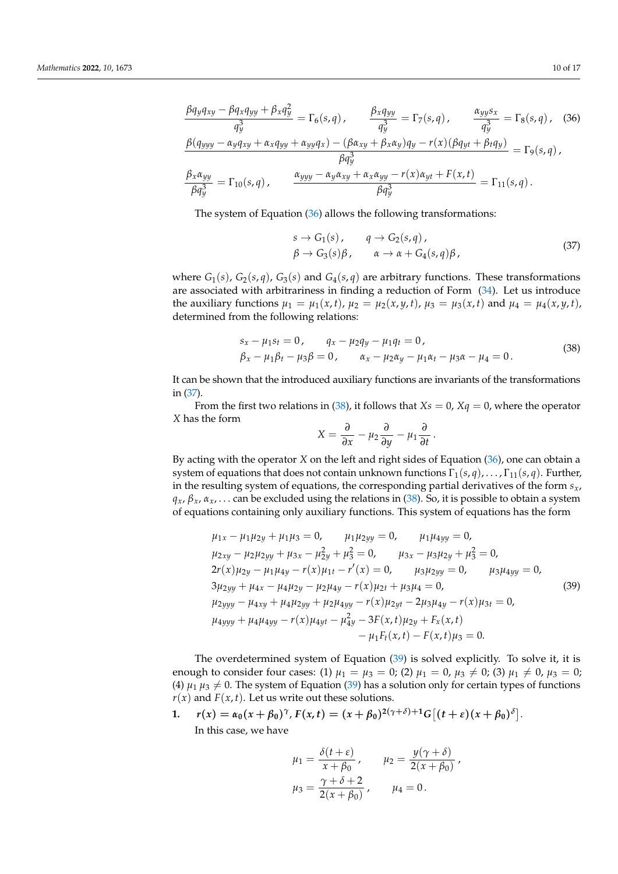$$
\frac{\beta q_y q_{xy} - \beta q_x q_{yy} + \beta_x q_y^2}{q_y^3} = \Gamma_6(s, q), \qquad \frac{\beta_x q_{yy}}{q_y^3} = \Gamma_7(s, q), \qquad \frac{\alpha_{yy} s_x}{q_y^3} = \Gamma_8(s, q), \qquad (36)
$$
  

$$
\frac{\beta (q_{yyy} - \alpha_y q_{xy} + \alpha_x q_{yy} + \alpha_{yy} q_x) - (\beta \alpha_{xy} + \beta_x \alpha_y) q_y - r(x) (\beta q_{yt} + \beta_t q_y)}{\beta q_y^3} = \Gamma_9(s, q),
$$
  

$$
\frac{\beta_x \alpha_{yy}}{\beta q_y^3} = \Gamma_{10}(s, q), \qquad \frac{\alpha_{yyy} - \alpha_y \alpha_{xy} + \alpha_x \alpha_{yy} - r(x) \alpha_{yt} + F(x, t)}{\beta q_y^3} = \Gamma_{11}(s, q).
$$

The system of Equation [\(36\)](#page-9-0) allows the following transformations:

<span id="page-9-1"></span><span id="page-9-0"></span>
$$
s \to G_1(s), \qquad q \to G_2(s,q), \n\beta \to G_3(s)\beta, \qquad \alpha \to \alpha + G_4(s,q)\beta,
$$
\n(37)

where  $G_1(s)$ ,  $G_2(s,q)$ ,  $G_3(s)$  and  $G_4(s,q)$  are arbitrary functions. These transformations are associated with arbitrariness in finding a reduction of Form [\(34\)](#page-8-2). Let us introduce the auxiliary functions  $\mu_1 = \mu_1(x, t)$ ,  $\mu_2 = \mu_2(x, y, t)$ ,  $\mu_3 = \mu_3(x, t)$  and  $\mu_4 = \mu_4(x, y, t)$ , determined from the following relations:

<span id="page-9-2"></span>
$$
s_x - \mu_1 s_t = 0, \qquad q_x - \mu_2 q_y - \mu_1 q_t = 0, \n\beta_x - \mu_1 \beta_t - \mu_3 \beta = 0, \qquad \alpha_x - \mu_2 \alpha_y - \mu_1 \alpha_t - \mu_3 \alpha - \mu_4 = 0.
$$
\n(38)

It can be shown that the introduced auxiliary functions are invariants of the transformations in [\(37\)](#page-9-1).

From the first two relations in [\(38\)](#page-9-2), it follows that  $X_s = 0$ ,  $X_q = 0$ , where the operator *X* has the form

<span id="page-9-3"></span>
$$
X=\frac{\partial}{\partial x}-\mu_2\frac{\partial}{\partial y}-\mu_1\frac{\partial}{\partial t}.
$$

By acting with the operator *X* on the left and right sides of Equation [\(36\)](#page-9-0), one can obtain a system of equations that does not contain unknown functions  $\Gamma_1(s,q), \ldots, \Gamma_{11}(s,q)$ . Further, in the resulting system of equations, the corresponding partial derivatives of the form *sx*,  $q_x$ ,  $\beta_x$ ,  $\alpha_x$ , ... can be excluded using the relations in [\(38\)](#page-9-2). So, it is possible to obtain a system of equations containing only auxiliary functions. This system of equations has the form

$$
\mu_{1x} - \mu_1 \mu_{2y} + \mu_1 \mu_3 = 0, \qquad \mu_1 \mu_{2yy} = 0, \qquad \mu_1 \mu_{4yy} = 0, \n\mu_{2xy} - \mu_2 \mu_{2yy} + \mu_{3x} - \mu_{2y}^2 + \mu_3^2 = 0, \qquad \mu_{3x} - \mu_3 \mu_{2y} + \mu_3^2 = 0, \n2r(x)\mu_{2y} - \mu_1 \mu_{4y} - r(x)\mu_{1t} - r'(x) = 0, \qquad \mu_3 \mu_{2yy} = 0, \qquad \mu_3 \mu_{4yy} = 0, \n3\mu_{2yy} + \mu_{4x} - \mu_4 \mu_{2y} - \mu_2 \mu_{4y} - r(x)\mu_{2t} + \mu_3 \mu_4 = 0, \n\mu_{2yyy} - \mu_{4xy} + \mu_4 \mu_{2yy} + \mu_2 \mu_{4yy} - r(x)\mu_{2yt} - 2\mu_3 \mu_{4y} - r(x)\mu_{3t} = 0, \n\mu_{4yyy} + \mu_4 \mu_{4yy} - r(x)\mu_{4yt} - \mu_{4y}^2 - 3F(x, t)\mu_{2y} + F_x(x, t) \n- \mu_1 F_t(x, t) - F(x, t)\mu_3 = 0.
$$
\n
$$
(39)
$$

The overdetermined system of Equation [\(39\)](#page-9-3) is solved explicitly. To solve it, it is enough to consider four cases: (1)  $\mu_1 = \mu_3 = 0$ ; (2)  $\mu_1 = 0$ ,  $\mu_3 \neq 0$ ; (3)  $\mu_1 \neq 0$ ,  $\mu_3 = 0$ ; (4)  $\mu_1 \mu_3 \neq 0$ . The system of Equation [\(39\)](#page-9-3) has a solution only for certain types of functions  $r(x)$  and  $F(x, t)$ . Let us write out these solutions.

1. 
$$
r(x) = \alpha_0(x + \beta_0)^{\gamma}, F(x, t) = (x + \beta_0)^{2(\gamma + \delta) + 1} G[(t + \varepsilon)(x + \beta_0)^{\delta}].
$$
  
In this case, we have

$$
\mu_1 = \frac{\delta(t + \varepsilon)}{x + \beta_0}, \qquad \mu_2 = \frac{y(\gamma + \delta)}{2(x + \beta_0)},
$$

$$
\mu_3 = \frac{\gamma + \delta + 2}{2(x + \beta_0)}, \qquad \mu_4 = 0.
$$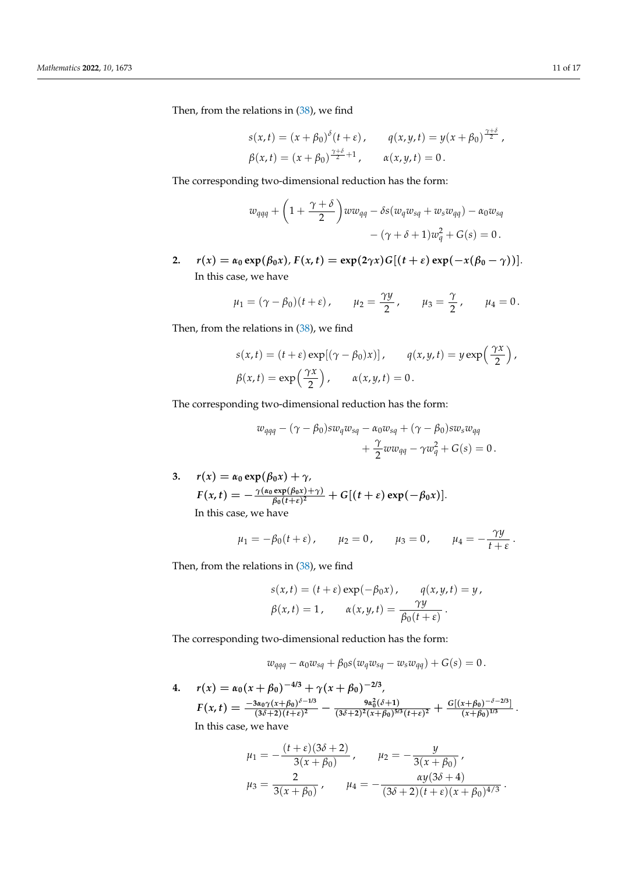Then, from the relations in [\(38\)](#page-9-2), we find

$$
s(x,t) = (x + \beta_0)^{\delta}(t + \varepsilon), \qquad q(x,y,t) = y(x + \beta_0)^{\frac{\gamma+\delta}{2}},
$$
  

$$
\beta(x,t) = (x + \beta_0)^{\frac{\gamma+\delta}{2}+1}, \qquad \alpha(x,y,t) = 0.
$$

The corresponding two-dimensional reduction has the form:

$$
w_{qqq} + \left(1 + \frac{\gamma + \delta}{2}\right)ww_{qq} - \delta s(w_qw_{sq} + w_sw_{qq}) - \alpha_0w_{sq}
$$

$$
-(\gamma + \delta + 1)w_q^2 + G(s) = 0.
$$

2.  $r(x) = \alpha_0 \exp(\beta_0 x)$ ,  $F(x, t) = \exp(2\gamma x) G[(t + \varepsilon) \exp(-x(\beta_0 - \gamma))]$ . In this case, we have

$$
\mu_1 = (\gamma - \beta_0)(t + \varepsilon),
$$
\n $\mu_2 = \frac{\gamma y}{2},$ \n $\mu_3 = \frac{\gamma}{2},$ \n $\mu_4 = 0.$ 

Then, from the relations in [\(38\)](#page-9-2), we find

$$
s(x,t) = (t + \varepsilon) \exp[(\gamma - \beta_0)x)], \qquad q(x,y,t) = y \exp\left(\frac{\gamma x}{2}\right),
$$
  

$$
\beta(x,t) = \exp\left(\frac{\gamma x}{2}\right), \qquad \alpha(x,y,t) = 0.
$$

The corresponding two-dimensional reduction has the form:

$$
w_{qqq} - (\gamma - \beta_0)sw_qw_{sq} - \alpha_0w_{sq} + (\gamma - \beta_0)sw_sw_{qq} + \frac{\gamma}{2}ww_{qq} - \gamma w_q^2 + G(s) = 0.
$$

3.  $r(x) = \alpha_0 \exp(\beta_0 x) + \gamma$ ,  $F(x,t) = -\frac{\gamma(\alpha_0 \exp(\beta_0 x) + \gamma)}{\beta_0 (t+s)^2}$  $\frac{\exp(\beta_0 x) + \gamma}{\beta_0 (t+\varepsilon)^2} + G[(t+\varepsilon) \exp(-\beta_0 x)].$ In this case, we have

$$
\mu_1 = -\beta_0(t + \varepsilon),
$$
\n $\mu_2 = 0,$ \n $\mu_3 = 0,$ \n $\mu_4 = -\frac{\gamma y}{t + \varepsilon}.$ 

Then, from the relations in [\(38\)](#page-9-2), we find

$$
s(x,t) = (t + \varepsilon) \exp(-\beta_0 x), \qquad q(x,y,t) = y,
$$
  

$$
\beta(x,t) = 1, \qquad \alpha(x,y,t) = \frac{\gamma y}{\beta_0(t+\varepsilon)}.
$$

The corresponding two-dimensional reduction has the form:

$$
w_{qqq} - \alpha_0 w_{sq} + \beta_0 s(w_q w_{sq} - w_s w_{qq}) + G(s) = 0.
$$

**4.**  $r(x) = \alpha_0(x + \beta_0)^{-4/3} + \gamma(x + \beta_0)^{-2/3}$  $F(x,t) = \frac{-3\alpha_0\gamma(x+\beta_0)^{\delta-1/3}}{(3\delta+2)(t+\beta)^2}$  $\frac{9a_0\gamma(x+\beta_0)^{\delta-1/3}}{(3\delta+2)(t+\varepsilon)^2} - \frac{9a_0^2(\delta+1)}{(3\delta+2)^2(x+\beta_0)^{5/3}}$  $\frac{9\alpha_0^2(\delta+1)}{(3\delta+2)^2(x+\beta_0)^{5/3}(t+\epsilon)^2} + \frac{G[(x+\beta_0)^{-\delta-2/3}]}{(x+\beta_0)^{1/3}}$  $\frac{x+p_0}{(x+\beta_0)^{1/3}}$ . In this case, we have

$$
\mu_1 = -\frac{(t+\varepsilon)(3\delta+2)}{3(x+\beta_0)}, \qquad \mu_2 = -\frac{y}{3(x+\beta_0)},
$$

$$
\mu_3 = \frac{2}{3(x+\beta_0)}, \qquad \mu_4 = -\frac{\alpha y(3\delta+4)}{(3\delta+2)(t+\varepsilon)(x+\beta_0)^{4/3}}.
$$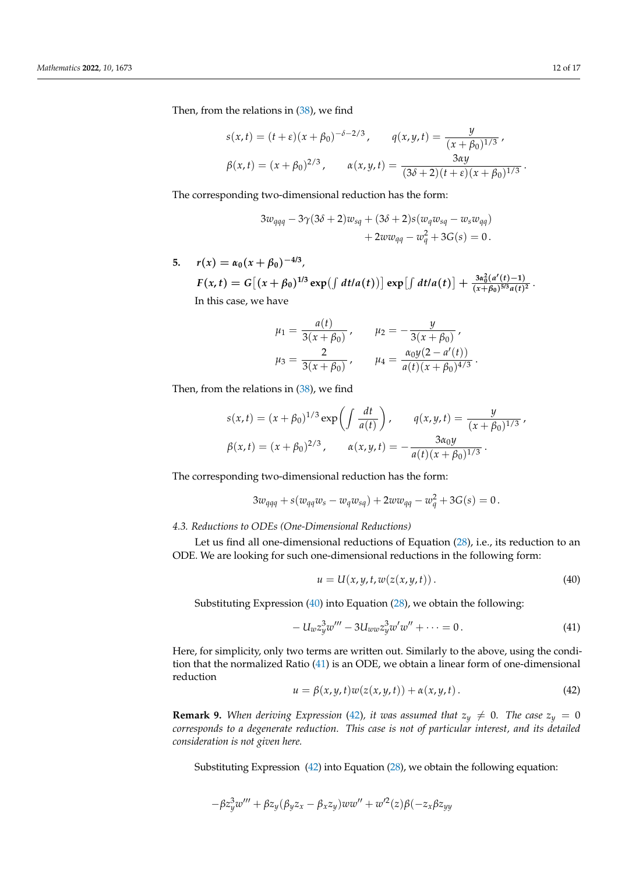Then, from the relations in [\(38\)](#page-9-2), we find

$$
s(x,t) = (t+\varepsilon)(x+\beta_0)^{-\delta-2/3}, \qquad q(x,y,t) = \frac{y}{(x+\beta_0)^{1/3}},
$$

$$
\beta(x,t) = (x+\beta_0)^{2/3}, \qquad \alpha(x,y,t) = \frac{3\alpha y}{(3\delta+2)(t+\varepsilon)(x+\beta_0)^{1/3}}.
$$

The corresponding two-dimensional reduction has the form:

$$
3w_{qqq} - 3\gamma(3\delta + 2)w_{sq} + (3\delta + 2)s(w_q w_{sq} - w_s w_{qq})
$$
  
+ 2ww\_{qq} - w\_q^2 + 3G(s) = 0.

5.  $r(x) = \alpha_0(x + \beta_0)^{-4/3}$  $F(x,t) = G[(x+\beta_0)^{1/3} \exp(\int dt/a(t))] \exp[\int dt/a(t)] + \frac{3\alpha_0^2(a'(t)-1)}{(x+\beta_0)^{5/3}a(t)}$  $\frac{(x+\beta_0)^{5/3}a(t)^2}{(x+\beta_0)^{5/3}a(t)^2}$ In this case, we have

$$
\mu_1 = \frac{a(t)}{3(x + \beta_0)}, \qquad \mu_2 = -\frac{y}{3(x + \beta_0)},
$$

$$
\mu_3 = \frac{2}{3(x + \beta_0)}, \qquad \mu_4 = \frac{\alpha_0 y (2 - a'(t))}{a(t)(x + \beta_0)^{4/3}}.
$$

Then, from the relations in [\(38\)](#page-9-2), we find

$$
s(x,t) = (x+\beta_0)^{1/3} \exp\left(\int \frac{dt}{a(t)}\right), \qquad q(x,y,t) = \frac{y}{(x+\beta_0)^{1/3}},
$$

$$
\beta(x,t) = (x+\beta_0)^{2/3}, \qquad \alpha(x,y,t) = -\frac{3\alpha_0 y}{a(t)(x+\beta_0)^{1/3}}.
$$

The corresponding two-dimensional reduction has the form:

$$
3w_{qqq} + s(w_{qq}w_s - w_qw_{sq}) + 2ww_{qq} - w_q^2 + 3G(s) = 0.
$$

<span id="page-11-0"></span>*4.3. Reductions to ODEs (One-Dimensional Reductions)*

Let us find all one-dimensional reductions of Equation [\(28\)](#page-7-2), i.e., its reduction to an ODE. We are looking for such one-dimensional reductions in the following form:

<span id="page-11-1"></span>
$$
u = U(x, y, t, w(z(x, y, t))).
$$
\n(40)

Substituting Expression [\(40\)](#page-11-1) into Equation [\(28\)](#page-7-2), we obtain the following:

<span id="page-11-2"></span>
$$
-U_w z_y^3 w''' - 3U_{ww} z_y^3 w' w'' + \cdots = 0.
$$
\n(41)

Here, for simplicity, only two terms are written out. Similarly to the above, using the condition that the normalized Ratio [\(41\)](#page-11-2) is an ODE, we obtain a linear form of one-dimensional reduction

<span id="page-11-3"></span>
$$
u = \beta(x, y, t)w(z(x, y, t)) + \alpha(x, y, t).
$$
 (42)

**Remark 9.** When deriving Expression [\(42\)](#page-11-3), it was assumed that  $z_y \neq 0$ . The case  $z_y = 0$ *corresponds to a degenerate reduction. This case is not of particular interest, and its detailed consideration is not given here.*

Substituting Expression [\(42\)](#page-11-3) into Equation [\(28\)](#page-7-2), we obtain the following equation:

$$
-\beta z_y^3 w''' + \beta z_y (\beta_y z_x - \beta_x z_y) w w'' + w'^2(z)\beta(-z_x\beta z_y)
$$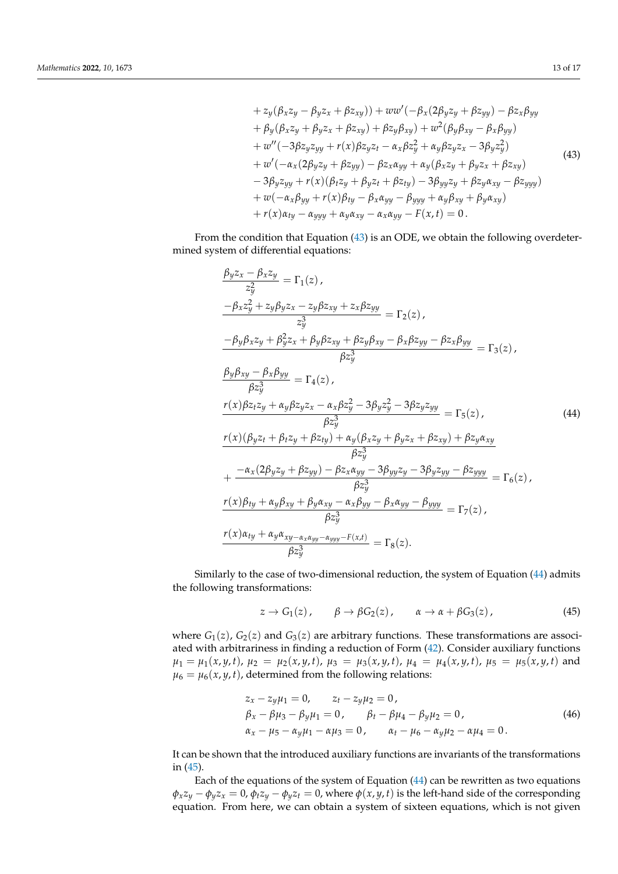<span id="page-12-0"></span>+ 
$$
z_y(\beta_x z_y - \beta_y z_x + \beta z_{xy})
$$
) +  $ww'(-\beta_x(2\beta_y z_y + \beta z_{yy}) - \beta z_x \beta_{yy}$   
+  $\beta_y(\beta_x z_y + \beta_y z_x + \beta z_{xy}) + \beta z_y \beta_{xy}) + w^2(\beta_y \beta_{xy} - \beta_x \beta_{yy})$   
+  $w''(-3\beta z_y z_{yy} + r(x)\beta z_y z_t - \alpha_x \beta z_y^2 + \alpha_y \beta z_y z_x - 3\beta_y z_y^2)$   
+  $w'(-\alpha_x(2\beta_y z_y + \beta z_{yy}) - \beta z_x \alpha_{yy} + \alpha_y(\beta_x z_y + \beta_y z_x + \beta z_{xy})$   
-  $3\beta_y z_{yy} + r(x)(\beta_t z_y + \beta_y z_t + \beta z_{ty}) - 3\beta_{yy} z_y + \beta z_y \alpha_{xy} - \beta z_{yyy})$   
+  $w(-\alpha_x \beta_{yy} + r(x)\beta_{ty} - \beta_x \alpha_{yy} - \beta_{yyy} + \alpha_y \beta_{xy} + \beta_y \alpha_{xy})$   
+  $r(x)\alpha_{ty} - \alpha_{yyy} + \alpha_y \alpha_{xy} - \alpha_x \alpha_{yy} - F(x, t) = 0$ .

From the condition that Equation [\(43\)](#page-12-0) is an ODE, we obtain the following overdetermined system of differential equations:

$$
\frac{\beta_{y}z_{x}-\beta_{x}z_{y}}{z_{y}^{2}} = \Gamma_{1}(z),
$$
\n
$$
\frac{-\beta_{x}z_{y}^{2}+z_{y}\beta_{y}z_{x}-z_{y}\beta z_{xy}+z_{x}\beta z_{yy}}{z_{y}^{3}} = \Gamma_{2}(z),
$$
\n
$$
\frac{-\beta_{y}\beta_{x}z_{y}+\beta_{y}^{2}z_{x}+\beta_{y}\beta z_{xy}+\beta z_{y}\beta_{xy}-\beta_{x}\beta z_{yy}-\beta z_{x}\beta_{yy}}{\beta z_{y}^{3}} = \Gamma_{3}(z),
$$
\n
$$
\frac{\beta_{y}\beta_{xy}-\beta_{x}\beta_{yy}}{\beta z_{y}^{3}} = \Gamma_{4}(z),
$$
\n
$$
\frac{r(x)\beta_{z}z_{y}+\alpha_{y}\beta z_{y}z_{x}-\alpha_{x}\beta z_{y}^{2}-3\beta_{y}z_{y}^{2}-3\beta z_{y}z_{yy}}{\beta z_{y}^{3}} = \Gamma_{5}(z),
$$
\n
$$
\frac{r(x)(\beta_{y}z_{t}+\beta_{t}z_{y}+\beta z_{ty})+\alpha_{y}(\beta_{x}z_{y}+\beta_{y}z_{x}+\beta z_{xy})+\beta z_{y}\alpha_{xy}}{\beta z_{y}^{3}} + \frac{-\alpha_{x}(2\beta_{y}z_{y}+\beta z_{yy})-\beta z_{x}\alpha_{yy}-3\beta_{yy}z_{y}-3\beta_{y}z_{yy}-\beta z_{yyy}}{\beta z_{y}^{3}} = \Gamma_{6}(z),
$$
\n
$$
\frac{r(x)\beta_{ty}+\alpha_{y}\beta_{xy}+\beta_{y}\alpha_{xy}-\alpha_{x}\beta_{yy}-\beta_{x}\alpha_{yy}-\beta_{yyy}}{\beta z_{y}^{3}} = \Gamma_{7}(z),
$$
\n
$$
\frac{r(x)\alpha_{ty}+\alpha_{y}\alpha_{xy}-\alpha_{x}\alpha_{yy}-r(x,t)}{\beta z_{y}^{3}} = \Gamma_{8}(z).
$$

Similarly to the case of two-dimensional reduction, the system of Equation [\(44\)](#page-12-1) admits the following transformations:

<span id="page-12-3"></span><span id="page-12-2"></span><span id="page-12-1"></span>
$$
z \to G_1(z), \qquad \beta \to \beta G_2(z), \qquad \alpha \to \alpha + \beta G_3(z), \tag{45}
$$

where  $G_1(z)$ ,  $G_2(z)$  and  $G_3(z)$  are arbitrary functions. These transformations are associated with arbitrariness in finding a reduction of Form [\(42\)](#page-11-3). Consider auxiliary functions  $\mu_1 = \mu_1(x, y, t)$ ,  $\mu_2 = \mu_2(x, y, t)$ ,  $\mu_3 = \mu_3(x, y, t)$ ,  $\mu_4 = \mu_4(x, y, t)$ ,  $\mu_5 = \mu_5(x, y, t)$  and  $\mu_6 = \mu_6(x, y, t)$ , determined from the following relations:

$$
z_x - z_y \mu_1 = 0, \t z_t - z_y \mu_2 = 0, \n\beta_x - \beta \mu_3 - \beta_y \mu_1 = 0, \t \beta_t - \beta \mu_4 - \beta_y \mu_2 = 0, \n\alpha_x - \mu_5 - \alpha_y \mu_1 - \alpha \mu_3 = 0, \t \alpha_t - \mu_6 - \alpha_y \mu_2 - \alpha \mu_4 = 0.
$$
\n(46)

It can be shown that the introduced auxiliary functions are invariants of the transformations in [\(45\)](#page-12-2).

Each of the equations of the system of Equation [\(44\)](#page-12-1) can be rewritten as two equations  $\phi_x z_y - \phi_y z_x = 0$ ,  $\phi_t z_y - \phi_y z_t = 0$ , where  $\phi(x, y, t)$  is the left-hand side of the corresponding equation. From here, we can obtain a system of sixteen equations, which is not given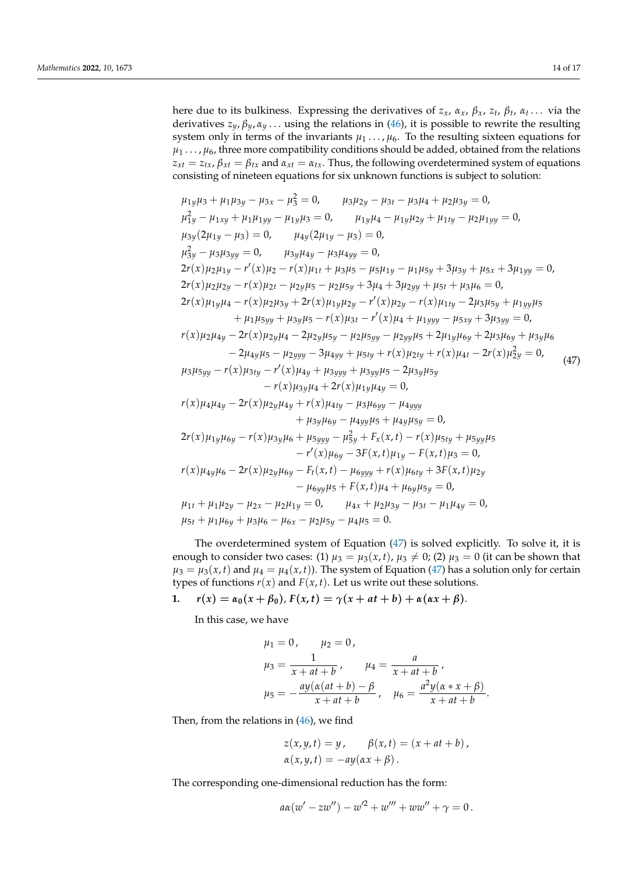here due to its bulkiness. Expressing the derivatives of *zx*, *αx*, *βx*, *z<sup>t</sup>* , *β<sup>t</sup>* , *α<sup>t</sup>* . . . via the derivatives  $z_y$ ,  $\beta_y$ ,  $\alpha_y$ ... using the relations in [\(46\)](#page-12-3), it is possible to rewrite the resulting system only in terms of the invariants  $\mu_1 \ldots \mu_6$ . To the resulting sixteen equations for  $\mu_1 \ldots \mu_6$ , three more compatibility conditions should be added, obtained from the relations  $z_{xt} = z_{tx}$ ,  $\beta_{xt} = \beta_{tx}$  and  $\alpha_{xt} = \alpha_{tx}$ . Thus, the following overdetermined system of equations consisting of nineteen equations for six unknown functions is subject to solution:

<span id="page-13-0"></span>
$$
\mu_{1y}\mu_{3} + \mu_{1}\mu_{3y} - \mu_{3x} - \mu_{3}^{2} = 0, \quad \mu_{3}\mu_{2y} - \mu_{3t} - \mu_{3}\mu_{4} + \mu_{2}\mu_{3y} = 0, \n\mu_{1y}^{2} - \mu_{1xy} + \mu_{1}\mu_{1yy} - \mu_{1y}\mu_{3} = 0, \quad \mu_{1y}\mu_{4} - \mu_{1y}\mu_{2y} + \mu_{1ty} - \mu_{2}\mu_{1yy} = 0, \n\mu_{3y}(2\mu_{1y} - \mu_{3}) = 0, \quad \mu_{4y}(2\mu_{1y} - \mu_{3}) = 0, \n\mu_{3y}^{2} - \mu_{3}\mu_{3yy} = 0, \quad \mu_{3y}\mu_{4y} - \mu_{3}\mu_{4yy} = 0, \n2r(x)\mu_{2}\mu_{1y} - r'(x)\mu_{2} - r(x)\mu_{1t} + \mu_{3}\mu_{5} - \mu_{5}\mu_{1y} - \mu_{1}\mu_{5y} + 3\mu_{3y} + \mu_{5x} + 3\mu_{1yy} = 0, \n2r(x)\mu_{2}\mu_{2y} - r(x)\mu_{2t} - \mu_{2y}\mu_{5} - \mu_{2}\mu_{5y} + 3\mu_{4} + 3\mu_{2yy} + \mu_{5t} + \mu_{3}\mu_{6} = 0, \n2r(x)\mu_{1y}\mu_{4} - r(x)\mu_{2}\mu_{3y} + 2r(x)\mu_{1y}\mu_{2y} - r'(x)\mu_{2y} - r(x)\mu_{1ty} - 2\mu_{3y}\mu_{5y} + \mu_{1yy}\mu_{5} \n+ \mu_{1}\mu_{5yy} + \mu_{3y}\mu_{5} - r(x)\mu_{3t} - r'(x)\mu_{4} + \mu_{1yyy} - \mu_{5xy} + 3\mu_{3yy} = 0, \nr(x)\mu_{2}\mu_{4y} - 2r(x)\mu_{2y}\mu_{4} - 2\mu_{2y}\mu_{5y} - \mu_{2}\mu_{5yy} - \mu_{2yy}\mu_{5} + 2\mu_{1y}\mu_{6y} + 2\mu_{3}\mu_{6y} + \mu_{3y}\mu_{6} \n- 2\mu_{4y}\mu_{5} - \mu_{2yyy} -
$$

The overdetermined system of Equation [\(47\)](#page-13-0) is solved explicitly. To solve it, it is enough to consider two cases: (1)  $\mu_3 = \mu_3(x, t)$ ,  $\mu_3 \neq 0$ ; (2)  $\mu_3 = 0$  (it can be shown that  $\mu_3 = \mu_3(x, t)$  and  $\mu_4 = \mu_4(x, t)$ ). The system of Equation [\(47\)](#page-13-0) has a solution only for certain types of functions  $r(x)$  and  $F(x, t)$ . Let us write out these solutions.

**1.**  $r(x) = \alpha_0(x + \beta_0)$ ,  $F(x,t) = \gamma(x + at + b) + \alpha(\alpha x + \beta)$ .

In this case, we have

$$
\mu_1 = 0, \quad \mu_2 = 0,
$$
  
\n
$$
\mu_3 = \frac{1}{x + at + b}, \quad \mu_4 = \frac{a}{x + at + b},
$$
  
\n
$$
\mu_5 = -\frac{ay(\alpha(at + b) - \beta}{x + at + b}, \quad \mu_6 = \frac{a^2y(\alpha * x + \beta)}{x + at + b}.
$$

Then, from the relations in [\(46\)](#page-12-3), we find

$$
z(x, y, t) = y, \qquad \beta(x, t) = (x + at + b),
$$
  
 
$$
\alpha(x, y, t) = -ay(\alpha x + \beta).
$$

The corresponding one-dimensional reduction has the form:

$$
a\alpha(w' - zw'') - w'^2 + w''' + ww'' + \gamma = 0.
$$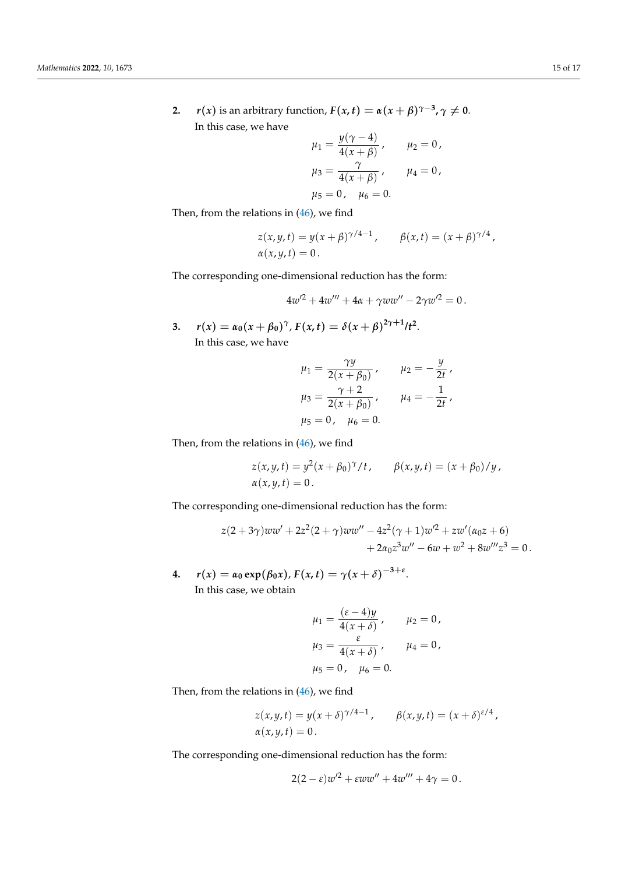**2.**  $r(x)$  is an arbitrary function,  $F(x,t) = \alpha(x+\beta)^{\gamma-3}, \gamma \neq 0$ . In this case, we have  $y(x-4)$ 

$$
\mu_1 = \frac{y(\gamma - 4)}{4(x + \beta)}, \quad \mu_2 = 0,
$$
  

$$
\mu_3 = \frac{\gamma}{4(x + \beta)}, \quad \mu_4 = 0,
$$
  

$$
\mu_5 = 0, \quad \mu_6 = 0.
$$

Then, from the relations in [\(46\)](#page-12-3), we find

$$
z(x,y,t) = y(x+\beta)^{\gamma/4-1}, \qquad \beta(x,t) = (x+\beta)^{\gamma/4},
$$
  

$$
\alpha(x,y,t) = 0.
$$

The corresponding one-dimensional reduction has the form:

$$
4w^2 + 4w''' + 4\alpha + \gamma w w'' - 2\gamma w'^2 = 0.
$$

**3.**  $r(x) = \alpha_0(x + \beta_0)^{\gamma}, F(x, t) = \delta(x + \beta)^{2\gamma + 1}/t^2.$ In this case, we have

$$
\mu_1 = \frac{\gamma y}{2(x + \beta_0)}, \qquad \mu_2 = -\frac{y}{2t},
$$
  

$$
\mu_3 = \frac{\gamma + 2}{2(x + \beta_0)}, \qquad \mu_4 = -\frac{1}{2t},
$$
  

$$
\mu_5 = 0, \quad \mu_6 = 0.
$$

Then, from the relations in [\(46\)](#page-12-3), we find

$$
z(x, y, t) = y^2(x + \beta_0)^{\gamma}/t
$$
,  $\beta(x, y, t) = (x + \beta_0)/y$ ,  
 $\alpha(x, y, t) = 0$ .

The corresponding one-dimensional reduction has the form:

$$
z(2+3\gamma)ww' + 2z^{2}(2+\gamma)ww'' - 4z^{2}(\gamma+1)w^{2} + zw'(\alpha_{0}z + 6)
$$
  
+ 2\alpha\_{0}z^{3}w'' - 6w + w^{2} + 8w'''z^{3} = 0.

**4.**  $r(x) = \alpha_0 \exp(\beta_0 x)$ ,  $F(x, t) = \gamma(x + \delta)^{-3 + \varepsilon}$ . In this case, we obtain

$$
\mu_1 = \frac{(\varepsilon - 4)y}{4(x + \delta)}, \quad \mu_2 = 0, \n\mu_3 = \frac{\varepsilon}{4(x + \delta)}, \quad \mu_4 = 0, \n\mu_5 = 0, \quad \mu_6 = 0.
$$

Then, from the relations in [\(46\)](#page-12-3), we find

$$
z(x, y, t) = y(x + \delta)^{\gamma/4 - 1}, \qquad \beta(x, y, t) = (x + \delta)^{\varepsilon/4},
$$
  
 
$$
\alpha(x, y, t) = 0.
$$

The corresponding one-dimensional reduction has the form:

$$
2(2-\varepsilon)w^2 + \varepsilon ww'' + 4w''' + 4\gamma = 0.
$$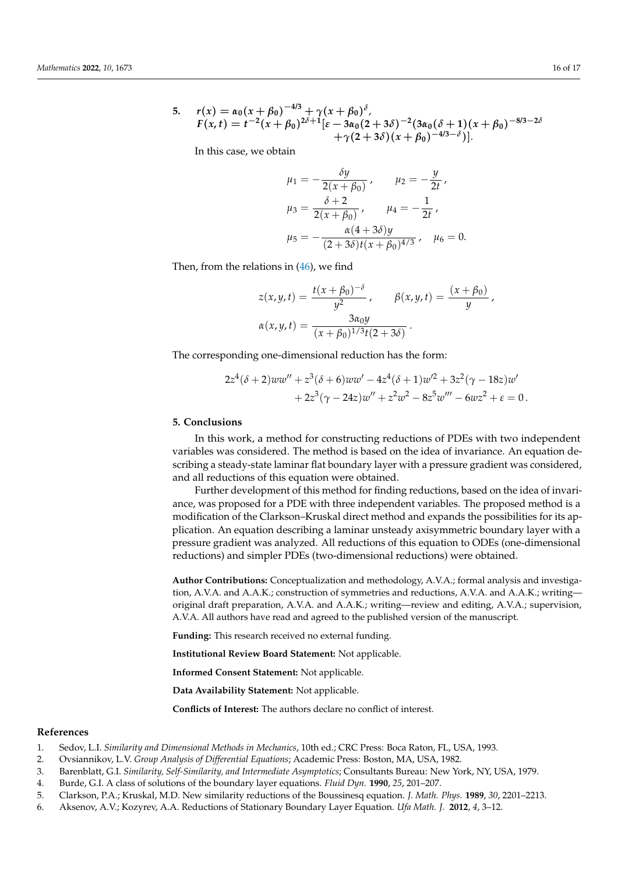5.  $r(x) = \alpha_0(x + \beta_0)^{-4/3} + \gamma(x + \beta_0)^{\delta}$  $F(x,t) = t^{-2}(x+\beta_0)^{2\delta+1}[\varepsilon-3\alpha_0(2+3\delta)^{-2}(3\alpha_0(\delta+1)(x+\beta_0)^{-8/3-2\delta}$  $+\gamma(2+3\delta)(x+\beta_0)^{-4/3-\delta})$ ].

In this case, we obtain

$$
\mu_1 = -\frac{\delta y}{2(x + \beta_0)}, \qquad \mu_2 = -\frac{y}{2t},
$$

$$
\mu_3 = \frac{\delta + 2}{2(x + \beta_0)}, \qquad \mu_4 = -\frac{1}{2t},
$$

$$
\mu_5 = -\frac{\alpha(4 + 3\delta)y}{(2 + 3\delta)t(x + \beta_0)^{4/3}}, \quad \mu_6 = 0.
$$

Then, from the relations in [\(46\)](#page-12-3), we find

$$
z(x, y, t) = \frac{t(x + \beta_0)^{-\delta}}{y^2}, \qquad \beta(x, y, t) = \frac{(x + \beta_0)}{y},
$$

$$
\alpha(x, y, t) = \frac{3\alpha_0 y}{(x + \beta_0)^{1/3}t(2 + 3\delta)}.
$$

The corresponding one-dimensional reduction has the form:

$$
2z4(\delta+2)ww'' + z3(\delta+6)ww' - 4z4(\delta+1)w'2 + 3z2(\gamma - 18z)w'+ 2z3(\gamma - 24z)w'' + z2w2 - 8z5w''' - 6wz2 + \varepsilon = 0.
$$

### <span id="page-15-0"></span>**5. Conclusions**

In this work, a method for constructing reductions of PDEs with two independent variables was considered. The method is based on the idea of invariance. An equation describing a steady-state laminar flat boundary layer with a pressure gradient was considered, and all reductions of this equation were obtained.

Further development of this method for finding reductions, based on the idea of invariance, was proposed for a PDE with three independent variables. The proposed method is a modification of the Clarkson–Kruskal direct method and expands the possibilities for its application. An equation describing a laminar unsteady axisymmetric boundary layer with a pressure gradient was analyzed. All reductions of this equation to ODEs (one-dimensional reductions) and simpler PDEs (two-dimensional reductions) were obtained.

**Author Contributions:** Conceptualization and methodology, A.V.A.; formal analysis and investigation, A.V.A. and A.A.K.; construction of symmetries and reductions, A.V.A. and A.A.K.; writing original draft preparation, A.V.A. and A.A.K.; writing—review and editing, A.V.A.; supervision, A.V.A. All authors have read and agreed to the published version of the manuscript.

**Funding:** This research received no external funding.

**Institutional Review Board Statement:** Not applicable.

**Informed Consent Statement:** Not applicable.

**Data Availability Statement:** Not applicable.

<span id="page-15-1"></span>**Conflicts of Interest:** The authors declare no conflict of interest.

# **References**

- <span id="page-15-2"></span>1. Sedov, L.I. *Similarity and Dimensional Methods in Mechanics*, 10th ed.; CRC Press: Boca Raton, FL, USA, 1993.
- <span id="page-15-3"></span>2. Ovsiannikov, L.V. *Group Analysis of Differential Equations*; Academic Press: Boston, MA, USA, 1982.
- <span id="page-15-4"></span>3. Barenblatt, G.I. *Similarity, Self-Similarity, and Intermediate Asymptotics*; Consultants Bureau: New York, NY, USA, 1979.
- <span id="page-15-5"></span>4. Burde, G.I. A class of solutions of the boundary layer equations. *Fluid Dyn.* **1990**, *25*, 201–207.
- <span id="page-15-6"></span>5. Clarkson, P.A.; Kruskal, M.D. New similarity reductions of the Boussinesq equation. *J. Math. Phys.* **1989**, *30*, 2201–2213.
- <span id="page-15-7"></span>6. Aksenov, A.V.; Kozyrev, A.A. Reductions of Stationary Boundary Layer Equation. *Ufa Math. J.* **2012**, *4*, 3–12.